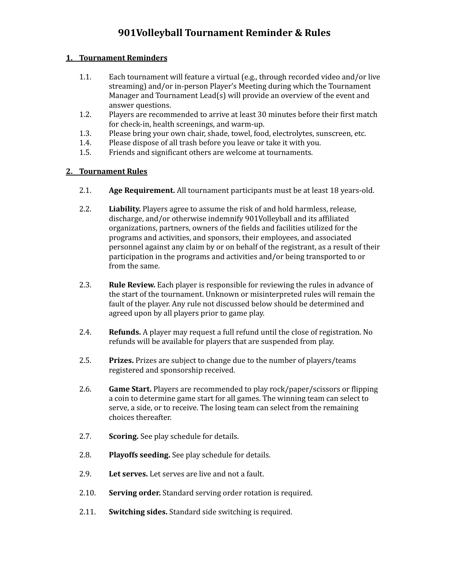#### **1. Tournament Reminders**

- 1.1. Each tournament will feature a virtual (e.g., through recorded video and/or live streaming) and/or in-person Player's Meeting during which the Tournament Manager and Tournament Lead(s) will provide an overview of the event and answer questions.
- 1.2. Players are recommended to arrive at least 30 minutes before their first match for check-in, health screenings, and warm-up.
- 1.3. Please bring your own chair, shade, towel, food, electrolytes, sunscreen, etc.
- 1.4. Please dispose of all trash before you leave or take it with you.
- 1.5. Friends and significant others are welcome at tournaments.

#### **2. Tournament Rules**

- 2.1. **Age Requirement.** All tournament participants must be at least 18 years-old.
- 2.2. **Liability.** Players agree to assume the risk of and hold harmless, release, discharge, and/or otherwise indemnify 901Volleyball and its affiliated organizations, partners, owners of the fields and facilities utilized for the programs and activities, and sponsors, their employees, and associated personnel against any claim by or on behalf of the registrant, as a result of their participation in the programs and activities and/or being transported to or from the same.
- 2.3. **Rule Review.** Each player is responsible for reviewing the rules in advance of the start of the tournament. Unknown or misinterpreted rules will remain the fault of the player. Any rule not discussed below should be determined and agreed upon by all players prior to game play.
- 2.4. **Refunds.** A player may request a full refund until the close of registration. No refunds will be available for players that are suspended from play.
- 2.5. **Prizes.** Prizes are subject to change due to the number of players/teams registered and sponsorship received.
- 2.6. **Game Start.** Players are recommended to play rock/paper/scissors or flipping a coin to determine game start for all games. The winning team can select to serve, a side, or to receive. The losing team can select from the remaining choices thereafter.
- 2.7. **Scoring.** See play schedule for details.
- 2.8. **Playoffs seeding.** See play schedule for details.
- 2.9. **Let serves.** Let serves are live and not a fault.
- 2.10. **Serving order.** Standard serving order rotation is required.
- 2.11. **Switching sides.** Standard side switching is required.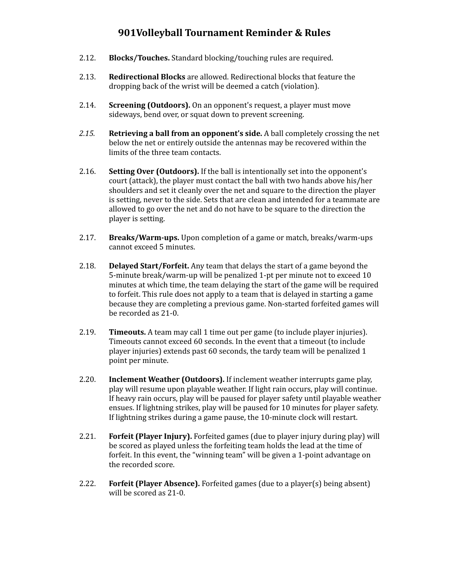- 2.12. **Blocks/Touches.** Standard blocking/touching rules are required.
- 2.13. **Redirectional Blocks** are allowed. Redirectional blocks that feature the dropping back of the wrist will be deemed a catch (violation).
- 2.14. **Screening (Outdoors).** On an opponent's request, a player must move sideways, bend over, or squat down to prevent screening.
- *2.15.* **Retrieving a ball from an opponent's side.** A ball completely crossing the net below the net or entirely outside the antennas may be recovered within the limits of the three team contacts.
- 2.16. **Setting Over (Outdoors).** If the ball is intentionally set into the opponent's court (attack), the player must contact the ball with two hands above his/her shoulders and set it cleanly over the net and square to the direction the player is setting, never to the side. Sets that are clean and intended for a teammate are allowed to go over the net and do not have to be square to the direction the player is setting.
- 2.17. **Breaks/Warm-ups.** Upon completion of a game or match, breaks/warm-ups cannot exceed 5 minutes.
- 2.18. **Delayed Start/Forfeit.** Any team that delays the start of a game beyond the 5-minute break/warm-up will be penalized 1-pt per minute not to exceed 10 minutes at which time, the team delaying the start of the game will be required to forfeit. This rule does not apply to a team that is delayed in starting a game because they are completing a previous game. Non-started forfeited games will be recorded as 21-0.
- 2.19. **Timeouts.** A team may call 1 time out per game (to include player injuries). Timeouts cannot exceed 60 seconds. In the event that a timeout (to include player injuries) extends past 60 seconds, the tardy team will be penalized 1 point per minute.
- 2.20. **Inclement Weather (Outdoors).** If inclement weather interrupts game play, play will resume upon playable weather. If light rain occurs, play will continue. If heavy rain occurs, play will be paused for player safety until playable weather ensues. If lightning strikes, play will be paused for 10 minutes for player safety. If lightning strikes during a game pause, the 10-minute clock will restart.
- 2.21. **Forfeit (Player Injury).** Forfeited games (due to player injury during play) will be scored as played unless the forfeiting team holds the lead at the time of forfeit. In this event, the "winning team" will be given a 1-point advantage on the recorded score.
- 2.22. **Forfeit (Player Absence).** Forfeited games (due to a player(s) being absent) will be scored as 21-0.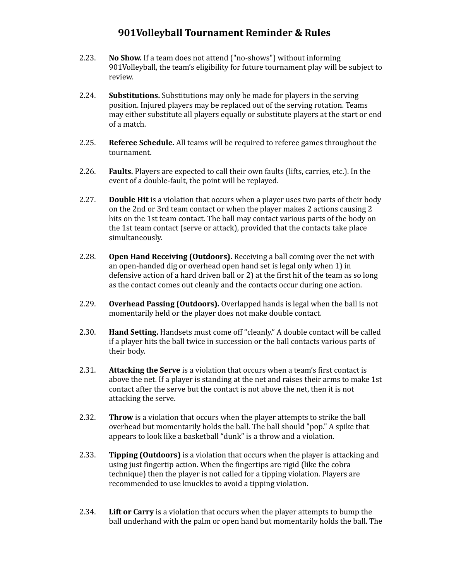- 2.23. **No Show.** If a team does not attend ("no-shows") without informing 901Volleyball, the team's eligibility for future tournament play will be subject to review.
- 2.24. **Substitutions.** Substitutions may only be made for players in the serving position. Injured players may be replaced out of the serving rotation. Teams may either substitute all players equally or substitute players at the start or end of a match.
- 2.25. **Referee Schedule.** All teams will be required to referee games throughout the tournament.
- 2.26. **Faults.** Players are expected to call their own faults (lifts, carries, etc.). In the event of a double-fault, the point will be replayed.
- 2.27. **Double Hit** is a violation that occurs when a player uses two parts of their body on the 2nd or 3rd team contact or when the player makes 2 actions causing 2 hits on the 1st team contact. The ball may contact various parts of the body on the 1st team contact (serve or attack), provided that the contacts take place simultaneously.
- 2.28. **Open Hand Receiving (Outdoors).** Receiving a ball coming over the net with an open-handed dig or overhead open hand set is legal only when 1) in defensive action of a hard driven ball or 2) at the first hit of the team as so long as the contact comes out cleanly and the contacts occur during one action.
- 2.29. **Overhead Passing (Outdoors).** Overlapped hands is legal when the ball is not momentarily held or the player does not make double contact.
- 2.30. **Hand Setting.** Handsets must come off "cleanly." A double contact will be called if a player hits the ball twice in succession or the ball contacts various parts of their body.
- 2.31. **Attacking the Serve** is a violation that occurs when a team's first contact is above the net. If a player is standing at the net and raises their arms to make 1st contact after the serve but the contact is not above the net, then it is not attacking the serve.
- 2.32. **Throw** is a violation that occurs when the player attempts to strike the ball overhead but momentarily holds the ball. The ball should "pop." A spike that appears to look like a basketball "dunk" is a throw and a violation.
- 2.33. **Tipping (Outdoors)** is a violation that occurs when the player is attacking and using just fingertip action. When the fingertips are rigid (like the cobra technique) then the player is not called for a tipping violation. Players are recommended to use knuckles to avoid a tipping violation.
- 2.34. **Lift or Carry** is a violation that occurs when the player attempts to bump the ball underhand with the palm or open hand but momentarily holds the ball. The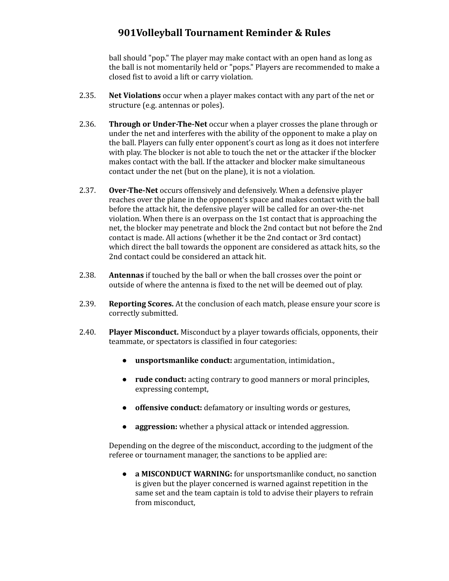ball should "pop." The player may make contact with an open hand as long as the ball is not momentarily held or "pops." Players are recommended to make a closed fist to avoid a lift or carry violation.

- 2.35. **Net Violations** occur when a player makes contact with any part of the net or structure (e.g. antennas or poles).
- 2.36. **Through or Under-The-Net** occur when a player crosses the plane through or under the net and interferes with the ability of the opponent to make a play on the ball. Players can fully enter opponent's court as long as it does not interfere with play. The blocker is not able to touch the net or the attacker if the blocker makes contact with the ball. If the attacker and blocker make simultaneous contact under the net (but on the plane), it is not a violation.
- 2.37. **Over-The-Net** occurs offensively and defensively. When a defensive player reaches over the plane in the opponent's space and makes contact with the ball before the attack hit, the defensive player will be called for an over-the-net violation. When there is an overpass on the 1st contact that is approaching the net, the blocker may penetrate and block the 2nd contact but not before the 2nd contact is made. All actions (whether it be the 2nd contact or 3rd contact) which direct the ball towards the opponent are considered as attack hits, so the 2nd contact could be considered an attack hit.
- 2.38. **Antennas** if touched by the ball or when the ball crosses over the point or outside of where the antenna is fixed to the net will be deemed out of play.
- 2.39. **Reporting Scores.** At the conclusion of each match, please ensure your score is correctly submitted.
- 2.40. **Player Misconduct.** Misconduct by a player towards officials, opponents, their teammate, or spectators is classified in four categories:
	- **unsportsmanlike conduct:** argumentation, intimidation.,
	- **rude conduct:** acting contrary to good manners or moral principles, expressing contempt,
	- **offensive conduct:** defamatory or insulting words or gestures,
	- **aggression:** whether a physical attack or intended aggression.

Depending on the degree of the misconduct, according to the judgment of the referee or tournament manager, the sanctions to be applied are:

● **a MISCONDUCT WARNING:** for unsportsmanlike conduct, no sanction is given but the player concerned is warned against repetition in the same set and the team captain is told to advise their players to refrain from misconduct,